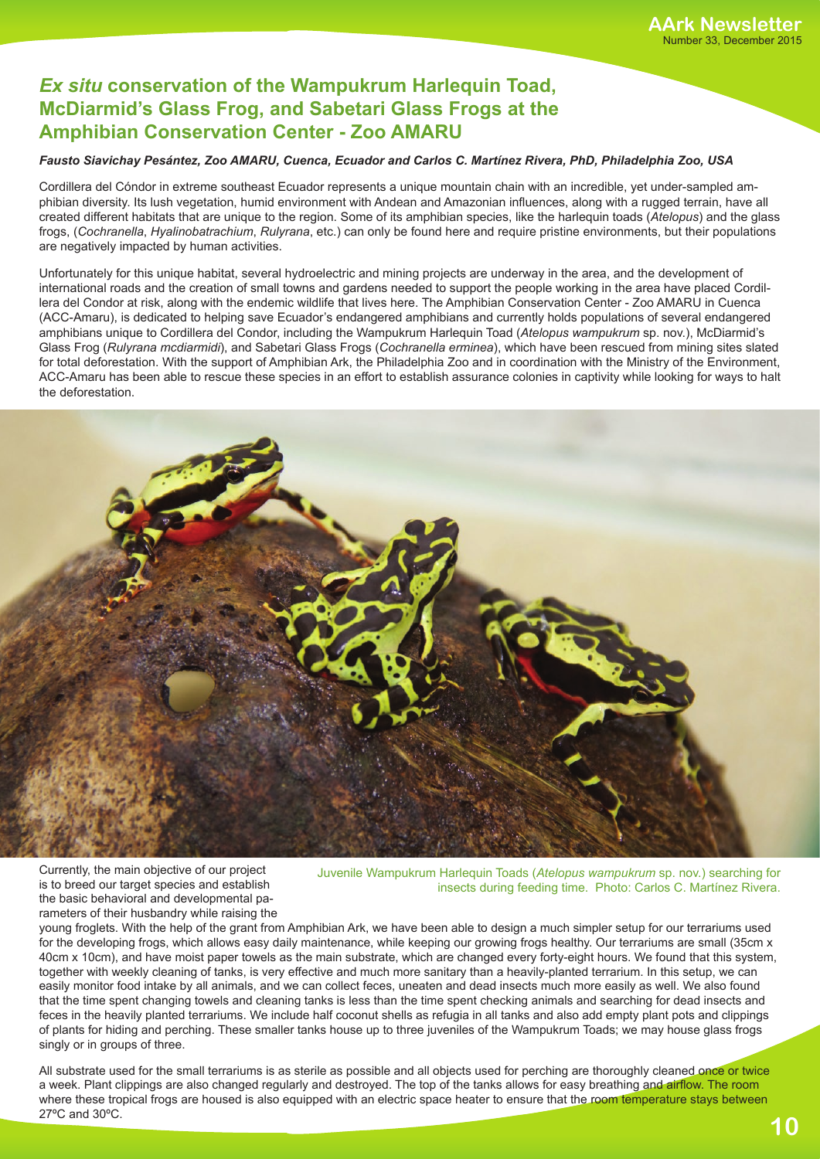## *Ex situ* **conservation of the Wampukrum Harlequin Toad, McDiarmid's Glass Frog, and Sabetari Glass Frogs at the Amphibian Conservation Center - Zoo AMARU**

## *Fausto Siavichay Pesántez, Zoo AMARU, Cuenca, Ecuador and Carlos C. Martínez Rivera, PhD, Philadelphia Zoo, USA*

Cordillera del Cóndor in extreme southeast Ecuador represents a unique mountain chain with an incredible, yet under-sampled amphibian diversity. Its lush vegetation, humid environment with Andean and Amazonian influences, along with a rugged terrain, have all created different habitats that are unique to the region. Some of its amphibian species, like the harlequin toads (*Atelopus*) and the glass frogs, (*Cochranella*, *Hyalinobatrachium*, *Rulyrana*, etc.) can only be found here and require pristine environments, but their populations are negatively impacted by human activities.

Unfortunately for this unique habitat, several hydroelectric and mining projects are underway in the area, and the development of international roads and the creation of small towns and gardens needed to support the people working in the area have placed Cordillera del Condor at risk, along with the endemic wildlife that lives here. The Amphibian Conservation Center - Zoo AMARU in Cuenca (ACC-Amaru), is dedicated to helping save Ecuador's endangered amphibians and currently holds populations of several endangered amphibians unique to Cordillera del Condor, including the Wampukrum Harlequin Toad (*Atelopus wampukrum* sp. nov.), McDiarmid's Glass Frog (*Rulyrana mcdiarmidi*), and Sabetari Glass Frogs (*Cochranella erminea*), which have been rescued from mining sites slated for total deforestation. With the support of Amphibian Ark, the Philadelphia Zoo and in coordination with the Ministry of the Environment, ACC-Amaru has been able to rescue these species in an effort to establish assurance colonies in captivity while looking for ways to halt the deforestation.



Currently, the main objective of our project is to breed our target species and establish the basic behavioral and developmental parameters of their husbandry while raising the

Juvenile Wampukrum Harlequin Toads (*Atelopus wampukrum* sp. nov.) searching for insects during feeding time. Photo: Carlos C. Martínez Rivera.

young froglets. With the help of the grant from Amphibian Ark, we have been able to design a much simpler setup for our terrariums used for the developing frogs, which allows easy daily maintenance, while keeping our growing frogs healthy. Our terrariums are small (35cm x 40cm x 10cm), and have moist paper towels as the main substrate, which are changed every forty-eight hours. We found that this system, together with weekly cleaning of tanks, is very effective and much more sanitary than a heavily-planted terrarium. In this setup, we can easily monitor food intake by all animals, and we can collect feces, uneaten and dead insects much more easily as well. We also found that the time spent changing towels and cleaning tanks is less than the time spent checking animals and searching for dead insects and feces in the heavily planted terrariums. We include half coconut shells as refugia in all tanks and also add empty plant pots and clippings of plants for hiding and perching. These smaller tanks house up to three juveniles of the Wampukrum Toads; we may house glass frogs singly or in groups of three.

**10** All substrate used for the small terrariums is as sterile as possible and all objects used for perching are thoroughly cleaned once or twice a week. Plant clippings are also changed regularly and destroyed. The top of the tanks allows for easy breathing and airflow. The room where these tropical frogs are housed is also equipped with an electric space heater to ensure that the room temperature stays between 27ºC and 30ºC.